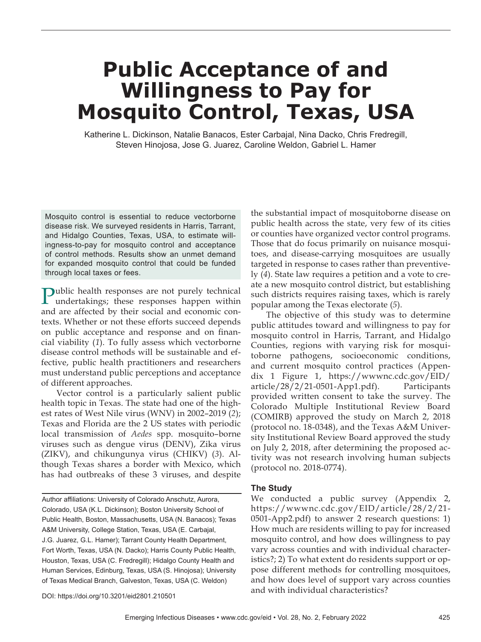# **Public Acceptance of and Willingness to Pay for Mosquito Control, Texas, USA**

Katherine L. Dickinson, Natalie Banacos, Ester Carbajal, Nina Dacko, Chris Fredregill, Steven Hinojosa, Jose G. Juarez, Caroline Weldon, Gabriel L. Hamer

Mosquito control is essential to reduce vectorborne disease risk. We surveyed residents in Harris, Tarrant, and Hidalgo Counties, Texas, USA, to estimate willingness-to-pay for mosquito control and acceptance of control methods. Results show an unmet demand for expanded mosquito control that could be funded through local taxes or fees.

Public health responses are not purely technical undertakings; these responses happen within and are affected by their social and economic contexts. Whether or not these efforts succeed depends on public acceptance and response and on financial viability (*1*). To fully assess which vectorborne disease control methods will be sustainable and effective, public health practitioners and researchers must understand public perceptions and acceptance of different approaches.

Vector control is a particularly salient public health topic in Texas. The state had one of the highest rates of West Nile virus (WNV) in 2002–2019 (*2*); Texas and Florida are the 2 US states with periodic local transmission of *Aedes* spp. mosquito–borne viruses such as dengue virus (DENV), Zika virus (ZIKV), and chikungunya virus (CHIKV) (*3*). Although Texas shares a border with Mexico, which has had outbreaks of these 3 viruses, and despite

Author affiliations: University of Colorado Anschutz, Aurora, Colorado, USA (K.L. Dickinson); Boston University School of Public Health, Boston, Massachusetts, USA (N. Banacos); Texas A&M University, College Station, Texas, USA (E. Carbajal, J.G. Juarez, G.L. Hamer); Tarrant County Health Department, Fort Worth, Texas, USA (N. Dacko); Harris County Public Health, Houston, Texas, USA (C. Fredregill); Hidalgo County Health and Human Services, Edinburg, Texas, USA (S. Hinojosa); University of Texas Medical Branch, Galveston, Texas, USA (C. Weldon)

DOI: https://doi.org/10.3201/eid2801.210501

the substantial impact of mosquitoborne disease on public health across the state, very few of its cities or counties have organized vector control programs. Those that do focus primarily on nuisance mosquitoes, and disease-carrying mosquitoes are usually targeted in response to cases rather than preventively (*4*). State law requires a petition and a vote to create a new mosquito control district, but establishing such districts requires raising taxes, which is rarely popular among the Texas electorate (*5*).

The objective of this study was to determine public attitudes toward and willingness to pay for mosquito control in Harris, Tarrant, and Hidalgo Counties, regions with varying risk for mosquitoborne pathogens, socioeconomic conditions, and current mosquito control practices (Appendix 1 Figure 1, https://wwwnc.cdc.gov/EID/ article/28/2/21-0501-App1.pdf). Participants provided written consent to take the survey. The Colorado Multiple Institutional Review Board (COMIRB) approved the study on March 2, 2018 (protocol no. 18-0348), and the Texas A&M University Institutional Review Board approved the study on July 2, 2018, after determining the proposed activity was not research involving human subjects (protocol no. 2018-0774).

#### **The Study**

We conducted a public survey (Appendix 2, https://wwwnc.cdc.gov/EID/article/28/2/21- 0501-App2.pdf) to answer 2 research questions: 1) How much are residents willing to pay for increased mosquito control, and how does willingness to pay vary across counties and with individual characteristics?; 2) To what extent do residents support or oppose different methods for controlling mosquitoes, and how does level of support vary across counties and with individual characteristics?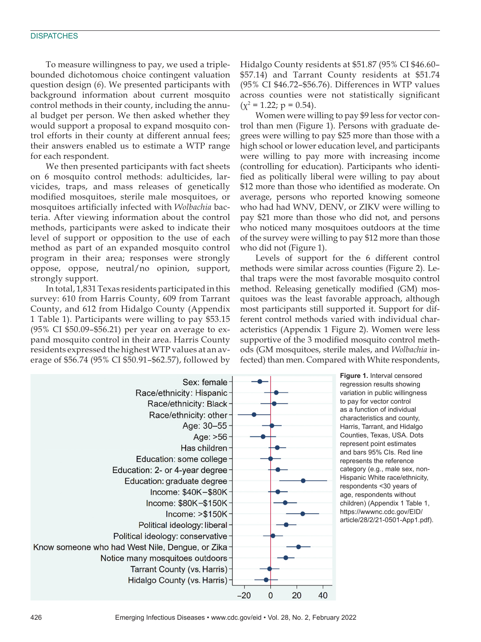To measure willingness to pay, we used a triplebounded dichotomous choice contingent valuation question design (*6*). We presented participants with background information about current mosquito control methods in their county, including the annual budget per person. We then asked whether they would support a proposal to expand mosquito control efforts in their county at different annual fees; their answers enabled us to estimate a WTP range for each respondent.

We then presented participants with fact sheets on 6 mosquito control methods: adulticides, larvicides, traps, and mass releases of genetically modified mosquitoes, sterile male mosquitoes, or mosquitoes artificially infected with *Wolbachia* bacteria. After viewing information about the control methods, participants were asked to indicate their level of support or opposition to the use of each method as part of an expanded mosquito control program in their area; responses were strongly oppose, oppose, neutral/no opinion, support, strongly support.

In total, 1,831 Texas residents participated in this survey: 610 from Harris County, 609 from Tarrant County, and 612 from Hidalgo County (Appendix 1 Table 1). Participants were willing to pay \$53.15 (95% CI \$50.09–\$56.21) per year on average to expand mosquito control in their area. Harris County residents expressed the highest WTP values at an average of \$56.74 (95% CI \$50.91–\$62.57), followed by

Hidalgo County residents at \$51.87 (95% CI \$46.60– \$57.14) and Tarrant County residents at \$51.74 (95% CI \$46.72–\$56.76). Differences in WTP values across counties were not statistically significant  $(\chi^2 = 1.22; p = 0.54).$ 

Women were willing to pay \$9 less for vector control than men (Figure 1). Persons with graduate degrees were willing to pay \$25 more than those with a high school or lower education level, and participants were willing to pay more with increasing income (controlling for education). Participants who identified as politically liberal were willing to pay about \$12 more than those who identified as moderate. On average, persons who reported knowing someone who had had WNV, DENV, or ZIKV were willing to pay \$21 more than those who did not, and persons who noticed many mosquitoes outdoors at the time of the survey were willing to pay \$12 more than those who did not (Figure 1).

Levels of support for the 6 different control methods were similar across counties (Figure 2). Lethal traps were the most favorable mosquito control method. Releasing genetically modified (GM) mosquitoes was the least favorable approach, although most participants still supported it. Support for different control methods varied with individual characteristics (Appendix 1 Figure 2). Women were less supportive of the 3 modified mosquito control methods (GM mosquitoes, sterile males, and *Wolbachia* infected) than men. Compared with White respondents,



**Figure 1.** Interval censored regression results showing variation in public willingness to pay for vector control as a function of individual characteristics and county, Harris, Tarrant, and Hidalgo Counties, Texas, USA. Dots represent point estimates and bars 95% CIs. Red line represents the reference category (e.g., male sex, non-Hispanic White race/ethnicity, respondents <30 years of age, respondents without children) (Appendix 1 Table 1, https://wwwnc.cdc.gov/EID/ article/28/2/21-0501-App1.pdf).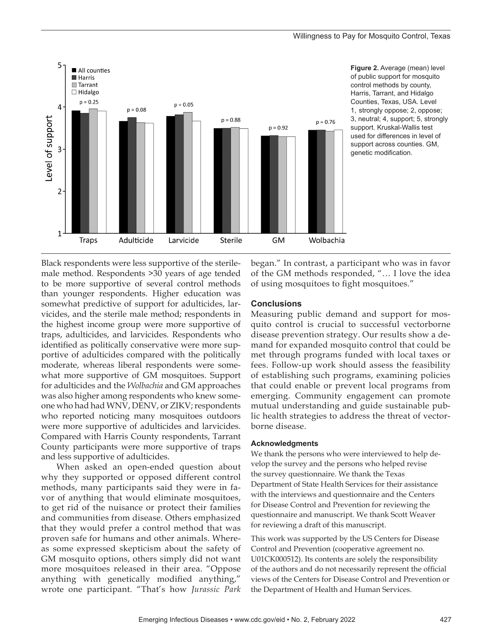

**Figure 2.** Average (mean) level of public support for mosquito control methods by county, Harris, Tarrant, and Hidalgo Counties, Texas, USA. Level 1, strongly oppose; 2, oppose; 3, neutral; 4, support; 5, strongly support. Kruskal-Wallis test used for differences in level of support across counties. GM, genetic modification.

Black respondents were less supportive of the sterilemale method. Respondents >30 years of age tended to be more supportive of several control methods than younger respondents. Higher education was somewhat predictive of support for adulticides, larvicides, and the sterile male method; respondents in the highest income group were more supportive of traps, adulticides, and larvicides. Respondents who identified as politically conservative were more supportive of adulticides compared with the politically moderate, whereas liberal respondents were somewhat more supportive of GM mosquitoes. Support for adulticides and the *Wolbachia* and GM approaches was also higher among respondents who knew someone who had had WNV, DENV, or ZIKV; respondents who reported noticing many mosquitoes outdoors were more supportive of adulticides and larvicides. Compared with Harris County respondents, Tarrant County participants were more supportive of traps and less supportive of adulticides.

When asked an open-ended question about why they supported or opposed different control methods, many participants said they were in favor of anything that would eliminate mosquitoes, to get rid of the nuisance or protect their families and communities from disease. Others emphasized that they would prefer a control method that was proven safe for humans and other animals. Whereas some expressed skepticism about the safety of GM mosquito options, others simply did not want more mosquitoes released in their area. "Oppose anything with genetically modified anything," wrote one participant. "That's how *Jurassic Park* began." In contrast, a participant who was in favor of the GM methods responded, "… I love the idea of using mosquitoes to fight mosquitoes."

#### **Conclusions**

Measuring public demand and support for mosquito control is crucial to successful vectorborne disease prevention strategy. Our results show a demand for expanded mosquito control that could be met through programs funded with local taxes or fees. Follow-up work should assess the feasibility of establishing such programs, examining policies that could enable or prevent local programs from emerging. Community engagement can promote mutual understanding and guide sustainable public health strategies to address the threat of vectorborne disease.

#### **Acknowledgments**

We thank the persons who were interviewed to help develop the survey and the persons who helped revise the survey questionnaire. We thank the Texas Department of State Health Services for their assistance with the interviews and questionnaire and the Centers for Disease Control and Prevention for reviewing the questionnaire and manuscript. We thank Scott Weaver for reviewing a draft of this manuscript.

This work was supported by the US Centers for Disease Control and Prevention (cooperative agreement no. U01CK000512). Its contents are solely the responsibility of the authors and do not necessarily represent the official views of the Centers for Disease Control and Prevention or the Department of Health and Human Services.